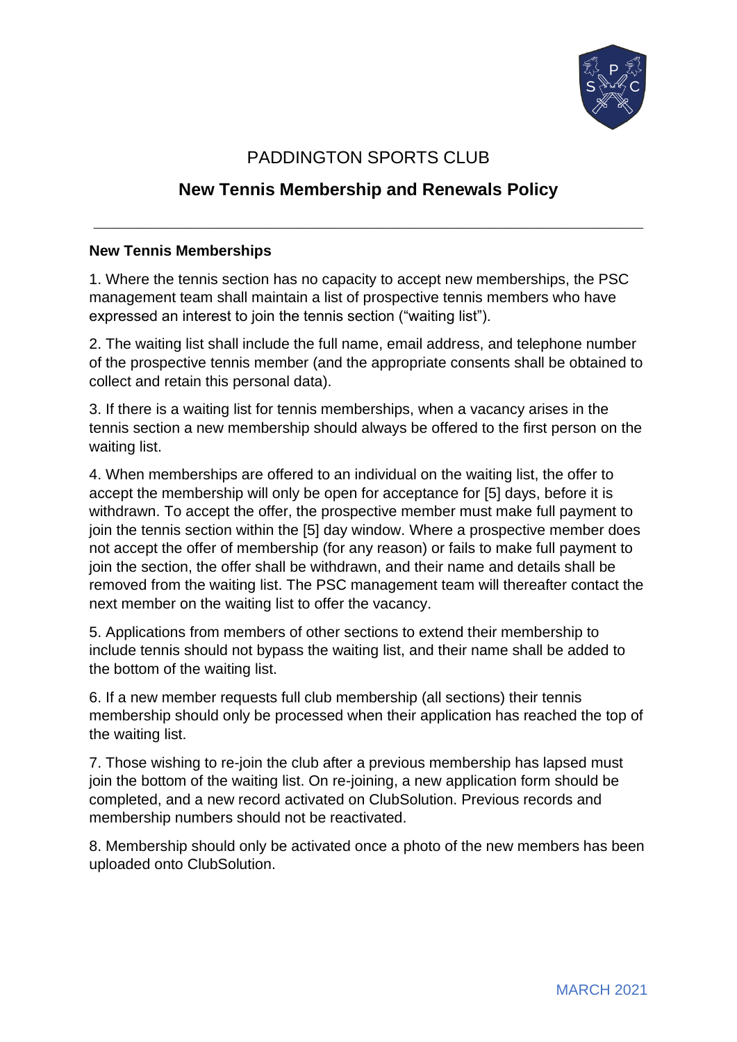

## PADDINGTON SPORTS CLUB

## **New Tennis Membership and Renewals Policy**

**\_\_\_\_\_\_\_\_\_\_\_\_\_\_\_\_\_\_\_\_\_\_\_\_\_\_\_\_\_\_\_\_\_\_\_\_\_\_\_\_\_\_\_\_\_\_\_\_\_\_\_\_\_\_\_\_\_**

## **New Tennis Memberships**

1. Where the tennis section has no capacity to accept new memberships, the PSC management team shall maintain a list of prospective tennis members who have expressed an interest to join the tennis section ("waiting list").

2. The waiting list shall include the full name, email address, and telephone number of the prospective tennis member (and the appropriate consents shall be obtained to collect and retain this personal data).

3. If there is a waiting list for tennis memberships, when a vacancy arises in the tennis section a new membership should always be offered to the first person on the waiting list.

4. When memberships are offered to an individual on the waiting list, the offer to accept the membership will only be open for acceptance for [5] days, before it is withdrawn. To accept the offer, the prospective member must make full payment to join the tennis section within the [5] day window. Where a prospective member does not accept the offer of membership (for any reason) or fails to make full payment to join the section, the offer shall be withdrawn, and their name and details shall be removed from the waiting list. The PSC management team will thereafter contact the next member on the waiting list to offer the vacancy.

5. Applications from members of other sections to extend their membership to include tennis should not bypass the waiting list, and their name shall be added to the bottom of the waiting list.

6. If a new member requests full club membership (all sections) their tennis membership should only be processed when their application has reached the top of the waiting list.

7. Those wishing to re-join the club after a previous membership has lapsed must join the bottom of the waiting list. On re-joining, a new application form should be completed, and a new record activated on ClubSolution. Previous records and membership numbers should not be reactivated.

8. Membership should only be activated once a photo of the new members has been uploaded onto ClubSolution.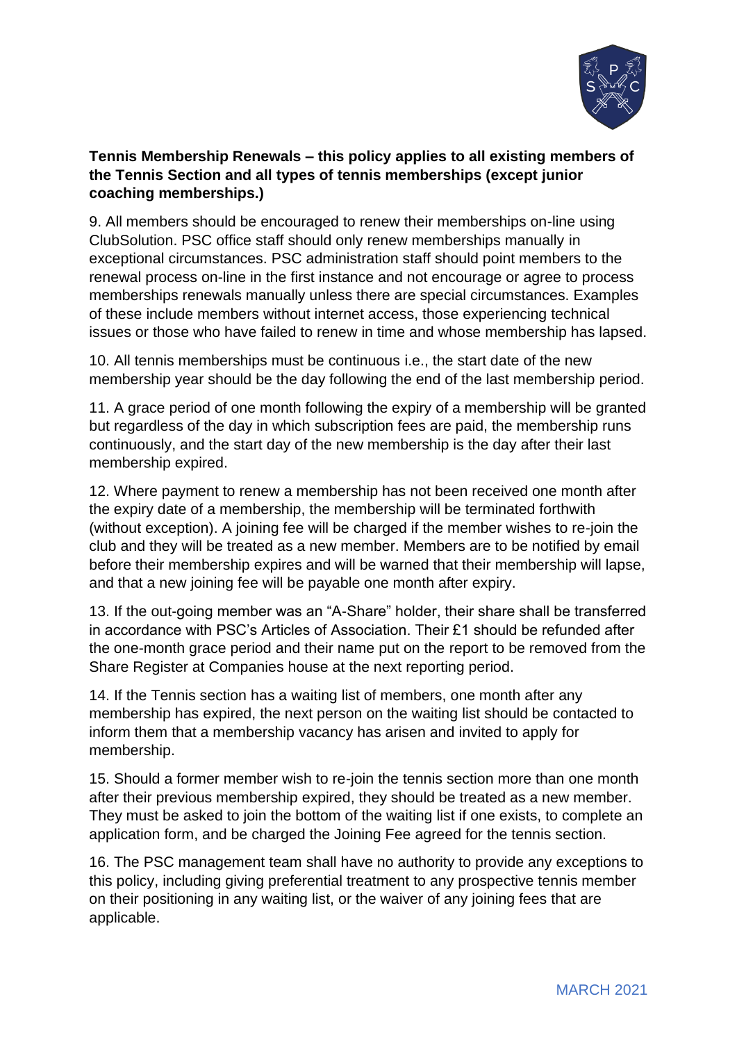

## **Tennis Membership Renewals – this policy applies to all existing members of the Tennis Section and all types of tennis memberships (except junior coaching memberships.)**

9. All members should be encouraged to renew their memberships on-line using ClubSolution. PSC office staff should only renew memberships manually in exceptional circumstances. PSC administration staff should point members to the renewal process on-line in the first instance and not encourage or agree to process memberships renewals manually unless there are special circumstances. Examples of these include members without internet access, those experiencing technical issues or those who have failed to renew in time and whose membership has lapsed.

10. All tennis memberships must be continuous i.e., the start date of the new membership year should be the day following the end of the last membership period.

11. A grace period of one month following the expiry of a membership will be granted but regardless of the day in which subscription fees are paid, the membership runs continuously, and the start day of the new membership is the day after their last membership expired.

12. Where payment to renew a membership has not been received one month after the expiry date of a membership, the membership will be terminated forthwith (without exception). A joining fee will be charged if the member wishes to re-join the club and they will be treated as a new member. Members are to be notified by email before their membership expires and will be warned that their membership will lapse, and that a new joining fee will be payable one month after expiry.

13. If the out-going member was an "A-Share" holder, their share shall be transferred in accordance with PSC's Articles of Association. Their £1 should be refunded after the one-month grace period and their name put on the report to be removed from the Share Register at Companies house at the next reporting period.

14. If the Tennis section has a waiting list of members, one month after any membership has expired, the next person on the waiting list should be contacted to inform them that a membership vacancy has arisen and invited to apply for membership.

15. Should a former member wish to re-join the tennis section more than one month after their previous membership expired, they should be treated as a new member. They must be asked to join the bottom of the waiting list if one exists, to complete an application form, and be charged the Joining Fee agreed for the tennis section.

16. The PSC management team shall have no authority to provide any exceptions to this policy, including giving preferential treatment to any prospective tennis member on their positioning in any waiting list, or the waiver of any joining fees that are applicable.